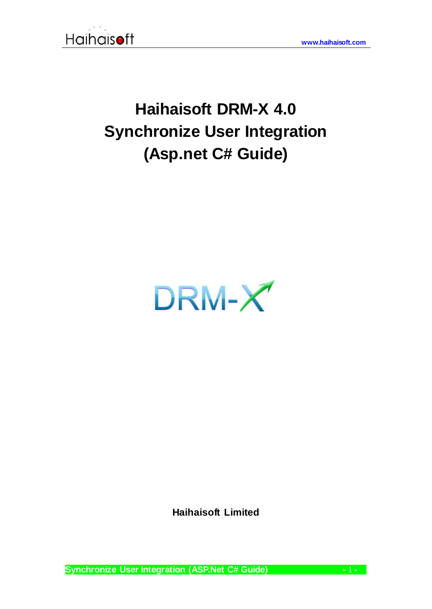

# **Haihaisoft DRM-X 4.0 Synchronize User Integration (Asp.net C# Guide)**



**Haihaisoft Limited**

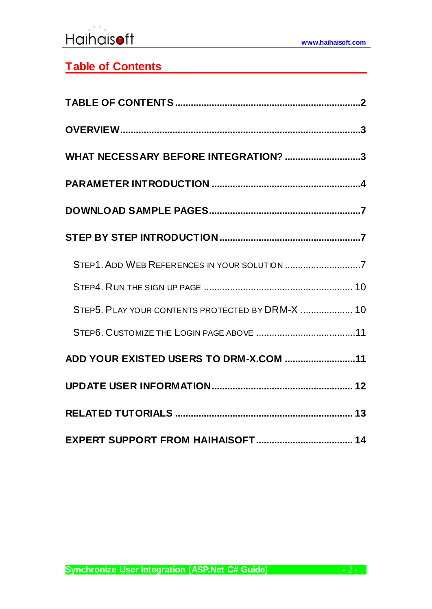# <span id="page-1-0"></span>**Table of Contents**

| WHAT NECESSARY BEFORE INTEGRATION? 3             |  |
|--------------------------------------------------|--|
|                                                  |  |
|                                                  |  |
|                                                  |  |
| STEP1. ADD WEB REFERENCES IN YOUR SOLUTION 7     |  |
|                                                  |  |
| STEP5. PLAY YOUR CONTENTS PROTECTED BY DRM-X  10 |  |
|                                                  |  |
| ADD YOUR EXISTED USERS TO DRM-X.COM 11           |  |
|                                                  |  |
|                                                  |  |
|                                                  |  |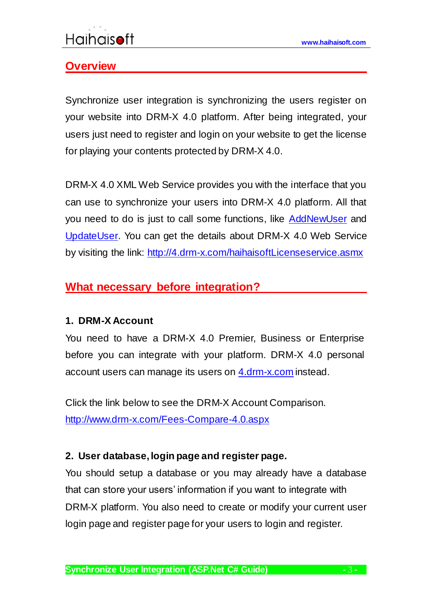### <span id="page-2-0"></span>**Overview**

Synchronize user integration is synchronizing the users register on your website into DRM-X 4.0 platform. After being integrated, your users just need to register and login on your website to get the license for playing your contents protected by DRM-X 4.0.

DRM-X 4.0 XML Web Service provides you with the interface that you can use to synchronize your users into DRM-X 4.0 platform. All that you need to do is just to call some functions, like [AddNewUser](http://4.drm-x.com/haihaisoftLicenseservice.asmx?op=AddNewUser) and [UpdateUser.](http://4.drm-x.com/haihaisoftLicenseservice.asmx?op=UpdateUser) You can get the details about DRM-X 4.0 Web Service by visiting the link: <http://4.drm-x.com/haihaisoftLicenseservice.asmx>

### <span id="page-2-1"></span>**What necessary before integration?**

### **1. DRM-X Account**

You need to have a DRM-X 4.0 Premier, Business or Enterprise before you can integrate with your platform. DRM-X 4.0 personal account users can manage its users on [4.drm-x.com](http://4.drm-x.com/) instead.

Click the link below to see the DRM-X Account Comparison. <http://www.drm-x.com/Fees-Compare-4.0.aspx>

### **2. User database, login page and register page.**

You should setup a database or you may already have a database that can store your users' information if you want to integrate with DRM-X platform. You also need to create or modify your current user login page and register page for your users to login and register.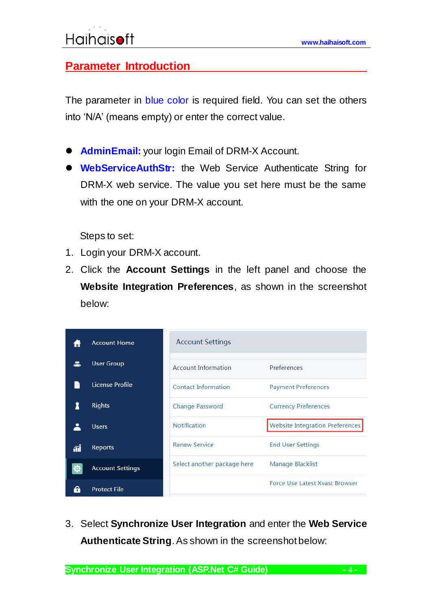### <span id="page-3-0"></span>**Parameter Introduction**

The parameter in blue color is required field. You can set the others into 'N/A' (means empty) or enter the correct value.

- **AdminEmail:** your login Email of DRM-X Account.
- **WebServiceAuthStr:** the Web Service Authenticate String for DRM-X web service. The value you set here must be the same with the one on your DRM-X account.

Steps to set:

- 1. Login your DRM-X account.
- 2. Click the **Account Settings** in the left panel and choose the **Website Integration Preferences**, as shown in the screenshot below:

|    | <b>Account Home</b>     | <b>Account Settings</b>     |                                        |
|----|-------------------------|-----------------------------|----------------------------------------|
|    | <b>User Group</b>       | Account Information         | Preferences                            |
|    | License Profile         | Contact Information         | <b>Payment Preferences</b>             |
|    | <b>Rights</b>           | <b>Change Password</b>      | <b>Currency Preferences</b>            |
|    | <b>Users</b>            | <b>Notification</b>         | <b>Website Integration Preferences</b> |
| ЛĨ | Reports                 | <b>Renew Service</b>        | <b>End User Settings</b>               |
|    | <b>Account Settings</b> | Select another package here | Manage Blacklist                       |
|    | <b>Protect File</b>     |                             | <b>Force Use Latest Xvast Browser</b>  |

3. Select **Synchronize User Integration** and enter the **Web Service Authenticate String**. As shown in the screenshot below: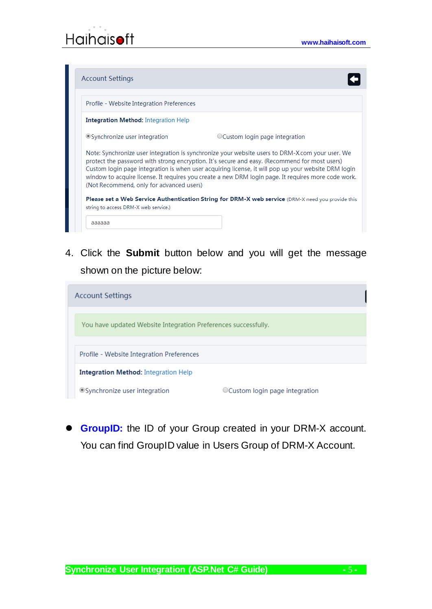

| Profile - Website Integration Preferences   |                                                                                                                                                                                                                                                                                                                                                                                                                |
|---------------------------------------------|----------------------------------------------------------------------------------------------------------------------------------------------------------------------------------------------------------------------------------------------------------------------------------------------------------------------------------------------------------------------------------------------------------------|
| <b>Integration Method:</b> Integration Help |                                                                                                                                                                                                                                                                                                                                                                                                                |
| O Synchronize user integration              | $\circ$ Custom login page integration                                                                                                                                                                                                                                                                                                                                                                          |
| (Not Recommend, only for advanced users)    | Note: Synchronize user integration is synchronize your website users to DRM-X.com your user. We<br>protect the password with strong encryption. It's secure and easy. (Recommend for most users)<br>Custom login page integration is when user acquiring license, it will pop up your website DRM login<br>window to acquire license. It requires you create a new DRM login page. It requires more code work. |
|                                             | <b>Please set a Web Service Authentication String for DRM-X web service</b> (DRM-X need you provide this                                                                                                                                                                                                                                                                                                       |

4. Click the **Submit** button below and you will get the message shown on the picture below:

| <b>Account Settings</b>                                        |                                 |  |  |  |
|----------------------------------------------------------------|---------------------------------|--|--|--|
|                                                                |                                 |  |  |  |
| You have updated Website Integration Preferences successfully. |                                 |  |  |  |
|                                                                |                                 |  |  |  |
| Profile - Website Integration Preferences                      |                                 |  |  |  |
| <b>Integration Method:</b> Integration Help                    |                                 |  |  |  |
| OSynchronize user integration                                  | ○ Custom login page integration |  |  |  |

**GroupID:** the ID of your Group created in your DRM-X account. You can find GroupID value in Users Group of DRM-X Account.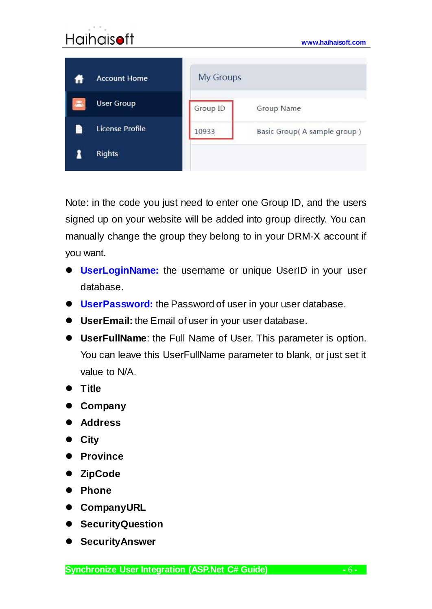### **[www.haihaisoft.com](http://www.haihaisoft.com/) My Groups Account Home User Group** Group ID Group Name **License Profile** P 10933 Basic Group(A sample group) 1 **Rights**

Note: in the code you just need to enter one Group ID, and the users signed up on your website will be added into group directly. You can manually change the group they belong to in your DRM-X account if you want.

- **UserLoginName:** the username or unique UserID in your user database.
- **UserPassword:** the Password of user in your user database.
- **UserEmail:** the Email of user in your user database.
- **UserFullName**: the Full Name of User. This parameter is option. You can leave this UserFullName parameter to blank, or just set it value to N/A.
- **Title**
- **Company**
- **Address**
- **City**
- **Province**
- **ZipCode**
- **Phone**
- **CompanyURL**
- **•** SecurityQuestion
- **SecurityAnswer**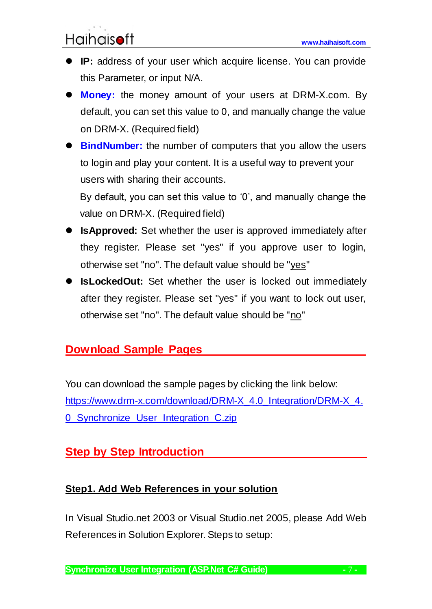- **IP:** address of your user which acquire license. You can provide this Parameter, or input N/A.
- **Money:** the money amount of your users at DRM-X.com. By default, you can set this value to 0, and manually change the value on DRM-X. (Required field)
- **BindNumber:** the number of computers that you allow the users to login and play your content. It is a useful way to prevent your users with sharing their accounts.

By default, you can set this value to '0', and manually change the value on DRM-X. (Required field)

- **IsApproved:** Set whether the user is approved immediately after they register. Please set "yes" if you approve user to login, otherwise set "no". The default value should be "yes"
- **IsLockedOut:** Set whether the user is locked out immediately after they register. Please set "yes" if you want to lock out user, otherwise set "no". The default value should be "no"

## <span id="page-6-0"></span>**Download Sample Pages**

<span id="page-6-1"></span>You can download the sample pages by clicking the link below: [https://www.drm-x.com/download/DRM-X\\_4.0\\_Integration/DRM-X\\_4.](https://www.drm-x.com/download/DRM-X_4.0_Integration/DRM-X_4.0_Synchronize_User_Integration_C.zip) [0\\_Synchronize\\_User\\_Integration\\_C.zip](https://www.drm-x.com/download/DRM-X_4.0_Integration/DRM-X_4.0_Synchronize_User_Integration_C.zip)

# **<u>Step by Step Introduction</u>**

### <span id="page-6-2"></span>**Step1. Add Web References in your solution**

In Visual Studio.net 2003 or Visual Studio.net 2005, please Add Web References in Solution Explorer. Steps to setup: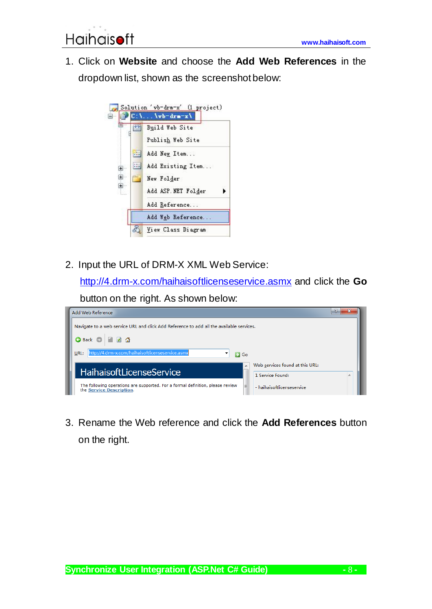1. Click on **Website** and choose the **Add Web References** in the dropdown list, shown as the screenshot below:



2. Input the URL of DRM-X XML Web Service:

<http://4.drm-x.com/haihaisoftlicenseservice.asmx> and click the **Go** 

button on the right. As shown below:



3. Rename the Web reference and click the **Add References** button on the right.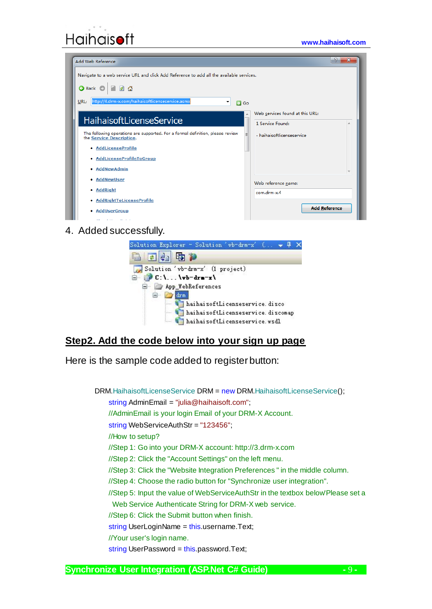| Add Web Reference                                                                                               | - ?<br>$\mathbf{x}$             |  |  |  |  |
|-----------------------------------------------------------------------------------------------------------------|---------------------------------|--|--|--|--|
| Navigate to a web service URL and click Add Reference to add all the available services.                        |                                 |  |  |  |  |
| G Back O                                                                                                        |                                 |  |  |  |  |
| URL: http://4.drm-x.com/haihaisoftlicenseservice.asmx<br>▼<br>$\Box$ Go                                         |                                 |  |  |  |  |
|                                                                                                                 | Web services found at this URL: |  |  |  |  |
| <b>HaihaisoftLicenseService</b>                                                                                 | 1 Service Found:                |  |  |  |  |
| The following operations are supported. For a formal definition, please review<br>Ξ<br>the Service Description. | - haihaisoftlicenseservice      |  |  |  |  |
| • AddLicenseProfile                                                                                             |                                 |  |  |  |  |
| • AddLicenseProfileToGroup                                                                                      |                                 |  |  |  |  |
| <b>AddNewAdmin</b><br>۰                                                                                         |                                 |  |  |  |  |
| • AddNewUser                                                                                                    | Web reference name:             |  |  |  |  |
| • AddRight                                                                                                      | com.drm-x.4                     |  |  |  |  |
| • AddRightToLicenseProfile                                                                                      |                                 |  |  |  |  |
| • AddUserGroup                                                                                                  | <b>Add Reference</b>            |  |  |  |  |

#### 4. Added successfully.



### **Step2. Add the code below into your sign up page**

Here is the sample code added to register button:

DRM.HaihaisoftLicenseService DRM = new DRM.HaihaisoftLicenseService();

string AdminEmail = "julia@haihaisoft.com";

//AdminEmail is your login Email of your DRM-X Account.

string WebServiceAuthStr = "123456";

//How to setup?

//Step 1: Go into your DRM-X account: http://3.drm-x.com

//Step 2: Click the "Account Settings" on the left menu.

//Step 3: Click the "Website Integration Preferences " in the middle column.

//Step 4: Choose the radio button for "Synchronize user integration".

//Step 5: Input the value of WebServiceAuthStr in the textbox below'Please set a

Web Service Authenticate String for DRM-X web service.

//Step 6: Click the Submit button when finish.

string UserLoginName = this.username.Text;

//Your user's login name.

string UserPassword = this.password.Text;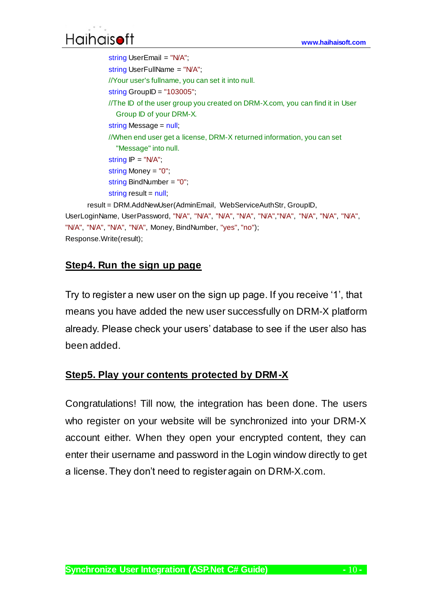```
string UserEmail = "N/A";
              string UserFullName = "N/A";
              //Your user's fullname, you can set it into null.
              string GroupID = "103005";
              //The ID of the user group you created on DRM-X.com, you can find it in User 
               Group ID of your DRM-X.
              string Message = null;
              //When end user get a license, DRM-X returned information, you can set 
               "Message" into null.
             string IP = "NA"; string Money = "0";
              string BindNumber = "0";
             string result = null;
      result = DRM.AddNewUser(AdminEmail, WebServiceAuthStr, GroupID, 
UserLoginName, UserPassword, "N/A", "N/A", "N/A", "N/A", "N/A","N/A", "N/A", "N/A", "N/A", 
"N/A", "N/A", "N/A", "N/A", Money, BindNumber, "yes", "no");
Response.Write(result);
```
### <span id="page-9-0"></span>**Step4. Run the sign up page**

Try to register a new user on the sign up page. If you receive '1', that means you have added the new user successfully on DRM-X platform already. Please check your users' database to see if the user also has been added.

### <span id="page-9-1"></span>**Step5. Play your contents protected by DRM-X**

Congratulations! Till now, the integration has been done. The users who register on your website will be synchronized into your DRM-X account either. When they open your encrypted content, they can enter their username and password in the Login window directly to get a license. They don't need to register again on DRM-X.com.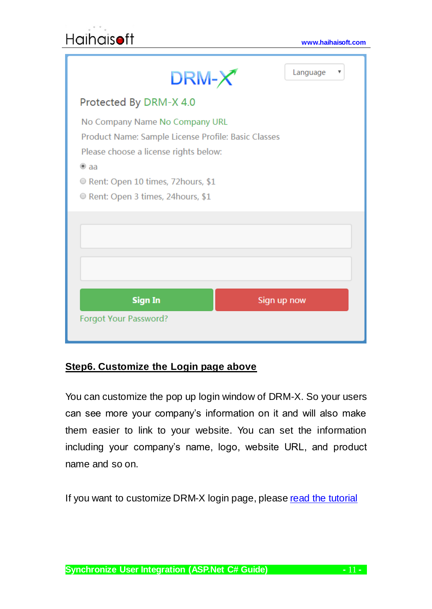| Language<br>v<br>$\mathsf{DRM}\text{-}\mathsf{X}$                                                                                                                                                                         |
|---------------------------------------------------------------------------------------------------------------------------------------------------------------------------------------------------------------------------|
| Protected By DRM-X 4.0                                                                                                                                                                                                    |
| No Company Name No Company URL<br>Product Name: Sample License Profile: Basic Classes<br>Please choose a license rights below:<br>$\bullet$ aa<br>Rent: Open 10 times, 72 hours, \$1<br>Rent: Open 3 times, 24 hours, \$1 |
|                                                                                                                                                                                                                           |
| <b>Sign In</b><br>Sign up now<br>Forgot Your Password?                                                                                                                                                                    |

### <span id="page-10-0"></span>**Step6. Customize the Login page above**

You can customize the pop up login window of DRM-X. So your users can see more your company's information on it and will also make them easier to link to your website. You can set the information including your company's name, logo, website URL, and product name and so on.

<span id="page-10-1"></span>If you want to customize DRM-X login page, pleas[e read the tutorial](https://www.drm-x.com/download/DRM-X_4.0_Integration/DRM-X_4.0_Custom_Login_Page_Integration_C.pdf)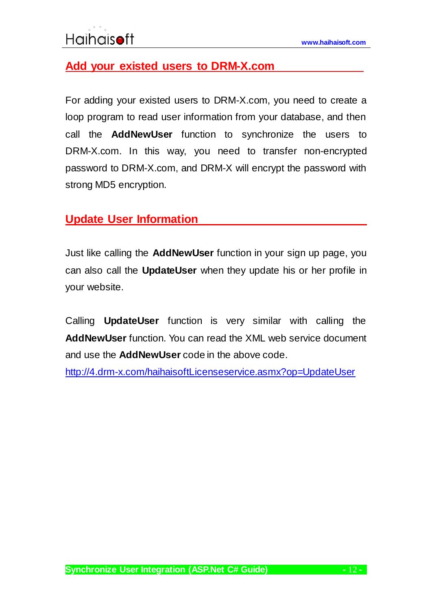## **Add your existed users to DRM-X.com**

For adding your existed users to DRM-X.com, you need to create a loop program to read user information from your database, and then call the **AddNewUser** function to synchronize the users to DRM-X.com. In this way, you need to transfer non-encrypted password to DRM-X.com, and DRM-X will encrypt the password with strong MD5 encryption.

### <span id="page-11-0"></span>**Update User Information**

Just like calling the **AddNewUser** function in your sign up page, you can also call the **UpdateUser** when they update his or her profile in your website.

Calling **UpdateUser** function is very similar with calling the **AddNewUser** function. You can read the XML web service document and use the **AddNewUser** code in the above code.

<http://4.drm-x.com/haihaisoftLicenseservice.asmx?op=UpdateUser>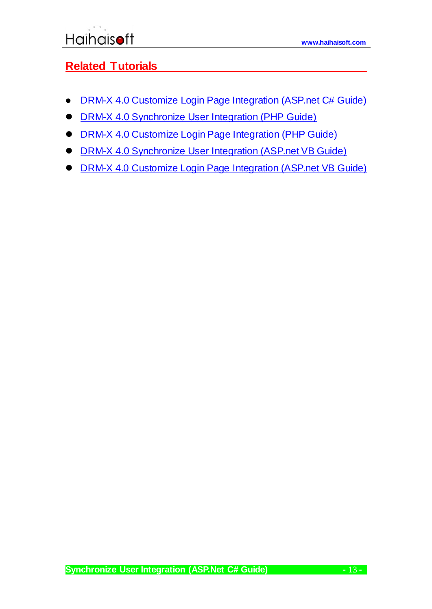## <span id="page-12-0"></span>**Related Tutorials**

- [DRM-X 4.0 Customize Login Page Integration \(ASP.net C# Guide\)](https://www.drm-x.com/download/DRM-X_4.0_Integration/DRM-X_4.0_Custom_Login_Page_Integration_C.pdf)
- **[DRM-X 4.0 Synchronize User Integration \(PHP Guide\)](https://www.drm-x.com/download/DRM-X_4.0_Integration/DRM-X_4.0_Synchronize_User_Integration_PHP.pdf)**
- [DRM-X 4.0 Customize Login Page Integration \(PHP Guide\)](https://www.drm-x.com/download/DRM-X_4.0_Integration/DRM-X_4.0_Custom_Login_Page_Integration_PHP.pdf)
- **[DRM-X 4.0 Synchronize User Integration \(ASP.net VB Guide\)](https://www.drm-x.com/download/DRM-X_4.0_Integration/DRM-X_4.0_Synchronize_User_Integration_VB.pdf)**
- [DRM-X 4.0 Customize Login Page Integration \(ASP.net VB Guide\)](https://www.drm-x.com/download/DRM-X_4.0_Integration/DRM-X_4.0_Custom_Login_Page_Integration_VB.pdf)